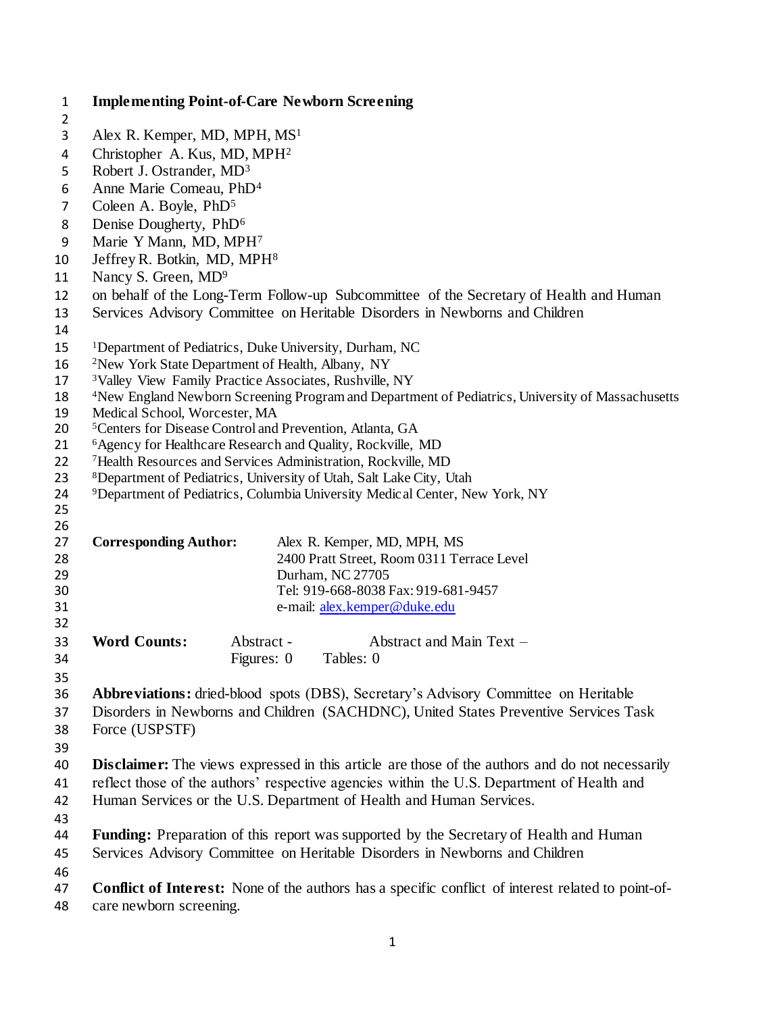| $\mathbf{1}$   | <b>Implementing Point-of-Care Newborn Screening</b>                                                          |  |  |  |  |
|----------------|--------------------------------------------------------------------------------------------------------------|--|--|--|--|
| $\overline{2}$ |                                                                                                              |  |  |  |  |
| 3              | Alex R. Kemper, MD, MPH, MS <sup>1</sup>                                                                     |  |  |  |  |
| 4              | Christopher A. Kus, MD, MPH <sup>2</sup>                                                                     |  |  |  |  |
| 5              | Robert J. Ostrander, MD <sup>3</sup>                                                                         |  |  |  |  |
| 6              | Anne Marie Comeau, PhD <sup>4</sup>                                                                          |  |  |  |  |
| 7              | Coleen A. Boyle, PhD <sup>5</sup>                                                                            |  |  |  |  |
| 8              | Denise Dougherty, PhD <sup>6</sup>                                                                           |  |  |  |  |
| 9              | Marie Y Mann, MD, MPH7                                                                                       |  |  |  |  |
| 10             | Jeffrey R. Botkin, MD, MPH <sup>8</sup>                                                                      |  |  |  |  |
| 11             | Nancy S. Green, MD <sup>9</sup>                                                                              |  |  |  |  |
| 12             | on behalf of the Long-Term Follow-up Subcommittee of the Secretary of Health and Human                       |  |  |  |  |
| 13             | Services Advisory Committee on Heritable Disorders in Newborns and Children                                  |  |  |  |  |
| 14             |                                                                                                              |  |  |  |  |
| 15             | <sup>1</sup> Department of Pediatrics, Duke University, Durham, NC                                           |  |  |  |  |
| 16             | <sup>2</sup> New York State Department of Health, Albany, NY                                                 |  |  |  |  |
| 17             | <sup>3</sup> Valley View Family Practice Associates, Rushville, NY                                           |  |  |  |  |
| 18             | <sup>4</sup> New England Newborn Screening Program and Department of Pediatrics, University of Massachusetts |  |  |  |  |
| 19             | Medical School, Worcester, MA                                                                                |  |  |  |  |
| 20             | <sup>5</sup> Centers for Disease Control and Prevention, Atlanta, GA                                         |  |  |  |  |
| 21             | <sup>6</sup> Agency for Healthcare Research and Quality, Rockville, MD                                       |  |  |  |  |
| 22             | <sup>7</sup> Health Resources and Services Administration, Rockville, MD                                     |  |  |  |  |
| 23             | <sup>8</sup> Department of Pediatrics, University of Utah, Salt Lake City, Utah                              |  |  |  |  |
| 24             | <sup>9</sup> Department of Pediatrics, Columbia University Medical Center, New York, NY                      |  |  |  |  |
| 25             |                                                                                                              |  |  |  |  |
| 26             |                                                                                                              |  |  |  |  |
| 27             | <b>Corresponding Author:</b><br>Alex R. Kemper, MD, MPH, MS                                                  |  |  |  |  |
| 28             | 2400 Pratt Street, Room 0311 Terrace Level                                                                   |  |  |  |  |
| 29<br>30       | Durham, NC 27705<br>Tel: 919-668-8038 Fax: 919-681-9457                                                      |  |  |  |  |
| 31             | e-mail: alex.kemper@duke.edu                                                                                 |  |  |  |  |
| 32             |                                                                                                              |  |  |  |  |
| 33             | <b>Word Counts:</b><br>Abstract -<br>Abstract and Main Text -                                                |  |  |  |  |
| 34             | Figures: 0<br>Tables: 0                                                                                      |  |  |  |  |
|                |                                                                                                              |  |  |  |  |
| 35<br>36       | <b>Abbreviations:</b> dried-blood spots (DBS), Secretary's Advisory Committee on Heritable                   |  |  |  |  |
|                |                                                                                                              |  |  |  |  |
| 37             | Disorders in Newborns and Children (SACHDNC), United States Preventive Services Task                         |  |  |  |  |
| 38             | Force (USPSTF)                                                                                               |  |  |  |  |
| 39             |                                                                                                              |  |  |  |  |
| 40             | <b>Disclaimer:</b> The views expressed in this article are those of the authors and do not necessarily       |  |  |  |  |
| 41             | reflect those of the authors' respective agencies within the U.S. Department of Health and                   |  |  |  |  |
| 42             | Human Services or the U.S. Department of Health and Human Services.                                          |  |  |  |  |
| 43             |                                                                                                              |  |  |  |  |
| 44             | <b>Funding:</b> Preparation of this report was supported by the Secretary of Health and Human                |  |  |  |  |
| 45             | Services Advisory Committee on Heritable Disorders in Newborns and Children                                  |  |  |  |  |
| 46             |                                                                                                              |  |  |  |  |
| 47             | <b>Conflict of Interest:</b> None of the authors has a specific conflict of interest related to point-of-    |  |  |  |  |
| 48             | care newborn screening.                                                                                      |  |  |  |  |
|                |                                                                                                              |  |  |  |  |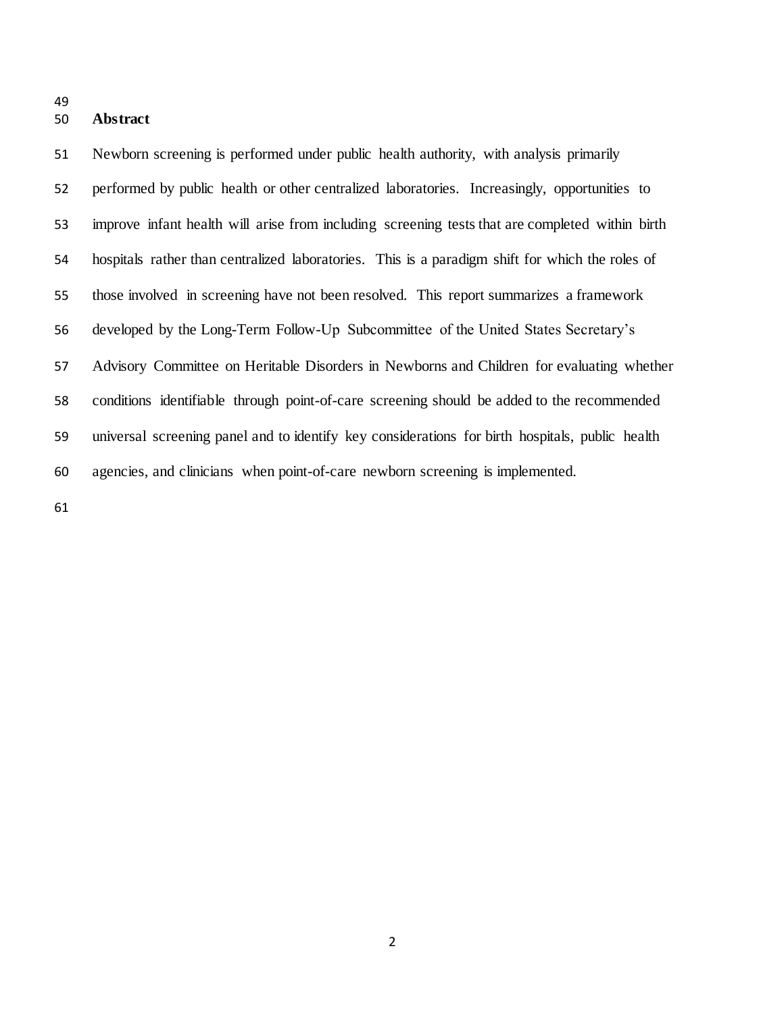## **Abstract**

 Newborn screening is performed under public health authority, with analysis primarily performed by public health or other centralized laboratories. Increasingly, opportunities to improve infant health will arise from including screening tests that are completed within birth hospitals rather than centralized laboratories. This is a paradigm shift for which the roles of those involved in screening have not been resolved. This report summarizes a framework developed by the Long-Term Follow-Up Subcommittee of the United States Secretary's Advisory Committee on Heritable Disorders in Newborns and Children for evaluating whether conditions identifiable through point-of-care screening should be added to the recommended universal screening panel and to identify key considerations for birth hospitals, public health agencies, and clinicians when point-of-care newborn screening is implemented.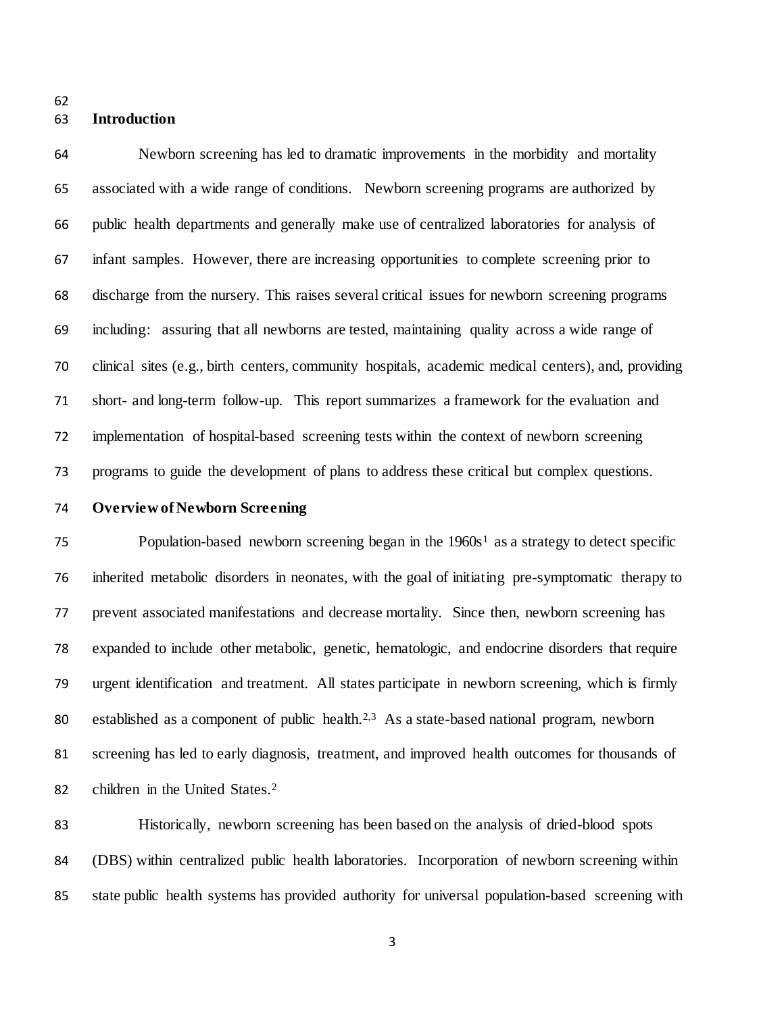## **Introduction**

 Newborn screening has led to dramatic improvements in the morbidity and mortality associated with a wide range of conditions. Newborn screening programs are authorized by public health departments and generally make use of centralized laboratories for analysis of infant samples. However, there are increasing opportunities to complete screening prior to discharge from the nursery. This raises several critical issues for newborn screening programs including: assuring that all newborns are tested, maintaining quality across a wide range of clinical sites (e.g., birth centers, community hospitals, academic medical centers), and, providing short- and long-term follow-up. This report summarizes a framework for the evaluation and implementation of hospital-based screening tests within the context of newborn screening programs to guide the development of plans to address these critical but complex questions.

# **Overview of Newborn Screening**

 $P$ opulation-based newborn screening began in the  $1960s<sup>1</sup>$  $1960s<sup>1</sup>$  as a strategy to detect specific inherited metabolic disorders in neonates, with the goal of initiating pre-symptomatic therapy to prevent associated manifestations and decrease mortality. Since then, newborn screening has expanded to include other metabolic, genetic, hematologic, and endocrine disorders that require urgent identification and treatment. All states participate in newborn screening, which is firmly 80 established as a component of public health.<sup>[2,](#page-10-1)[3](#page-10-2)</sup> As a state-based national program, newborn screening has led to early diagnosis, treatment, and improved health outcomes for thousands of 82 children in the United States[.](#page-10-1)<sup>2</sup>

 Historically, newborn screening has been based on the analysis of dried-blood spots (DBS) within centralized public health laboratories. Incorporation of newborn screening within state public health systems has provided authority for universal population-based screening with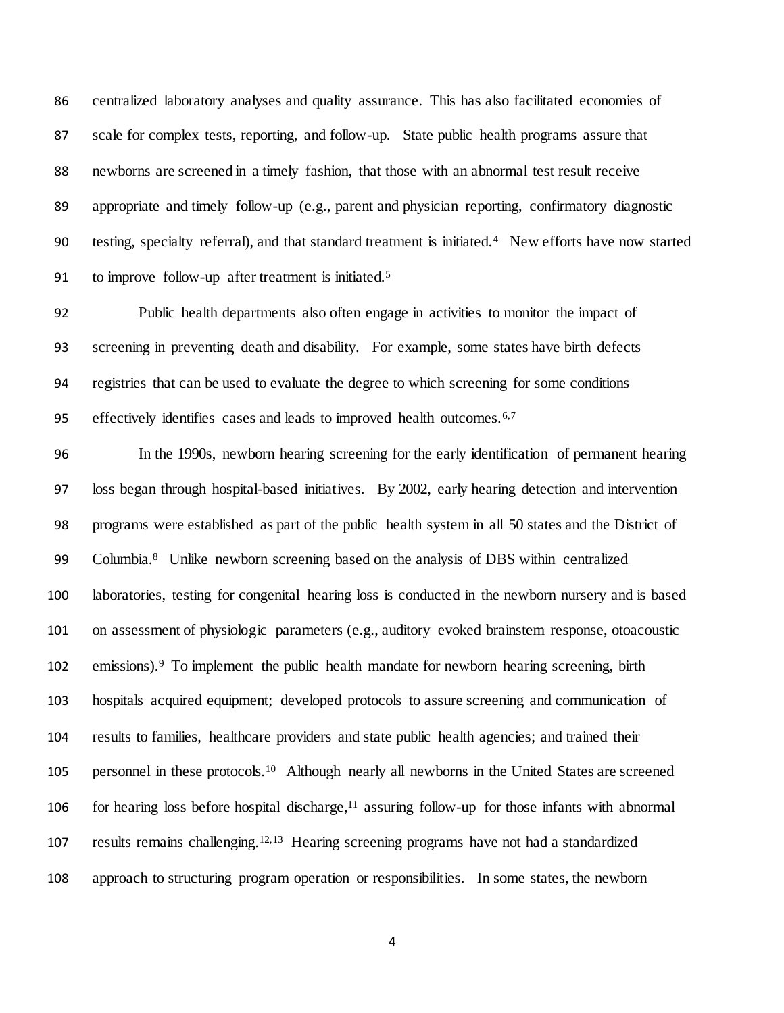centralized laboratory analyses and quality assurance. This has also facilitated economies of scale for complex tests, reporting, and follow-up. State public health programs assure that newborns are screened in a timely fashion, that those with an abnormal test result receive appropriate and timely follow-up (e.g., parent and physician reporting, confirmatory diagnostic testing, specialty referral), and that standard treatment is initiated.<sup>4</sup> New efforts have now started 91 to improve follow-up after treatment is initiated.<sup>[5](#page-11-1)</sup>

 Public health departments also often engage in activities to monitor the impact of screening in preventing death and disability. For example, some states have birth defects registries that can be used to evaluate the degree to which screening for some conditions effectively identifies cases and leads to improved health outcomes.<sup>[6,](#page-11-2)[7](#page-11-3)</sup>

 In the 1990s, newborn hearing screening for the early identification of permanent hearing loss began through hospital-based initiatives. By 2002, early hearing detection and intervention programs were established as part of the public health system in all 50 states and the District of Columbia.<sup>8</sup> Unlike newborn screening based on the analysis of DBS within centralized laboratories, testing for congenital hearing loss is conducted in the newborn nursery and is based on assessment of physiologic parameters (e.g., auditory evoked brainstem response, otoacoustic 102 emissions).<sup>[9](#page-11-5)</sup> To implement the public health mandate for newborn hearing screening, birth hospitals acquired equipment; developed protocols to assure screening and communication of results to families, healthcare providers and state public health agencies; and trained their 5 personnel in these protocols.<sup>10</sup> Although nearly all newborns in the United States are screened 106 for hearing loss before hospital discharge,<sup>[11](#page-11-7)</sup> assuring follow-up for those infants with abnormal 107 results remains challenging.  $12,13$  $12,13$  Hearing screening programs have not had a standardized approach to structuring program operation or responsibilities. In some states, the newborn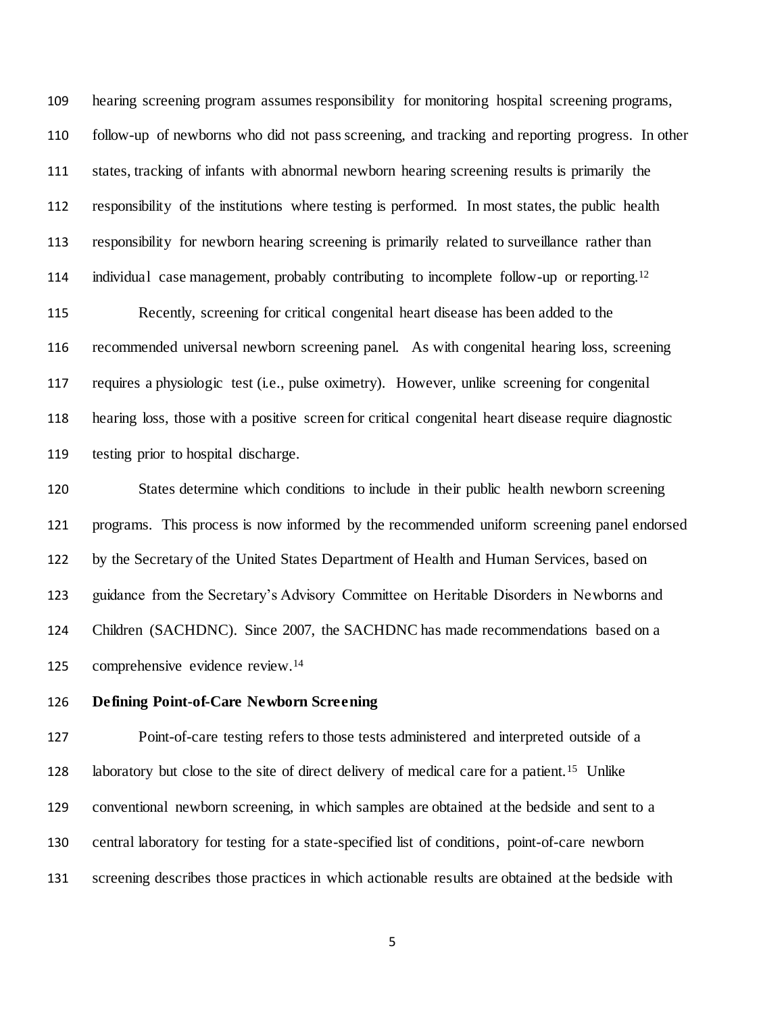hearing screening program assumes responsibility for monitoring hospital screening programs, follow-up of newborns who did not pass screening, and tracking and reporting progress. In other states, tracking of infants with abnormal newborn hearing screening results is primarily the responsibility of the institutions where testing is performed. In most states, the public health responsibility for newborn hearing screening is primarily related to surveillance rather than individual case management, probably contributing to incomplete follow-up or reporting.<sup>[12](#page-12-0)</sup> Recently, screening for critical congenital heart disease has been added to the recommended universal newborn screening panel. As with congenital hearing loss, screening

 requires a physiologic test (i.e., pulse oximetry). However, unlike screening for congenital hearing loss, those with a positive screen for critical congenital heart disease require diagnostic testing prior to hospital discharge.

 States determine which conditions to include in their public health newborn screening programs. This process is now informed by the recommended uniform screening panel endorsed by the Secretary of the United States Department of Health and Human Services, based on guidance from the Secretary's Advisory Committee on Heritable Disorders in Newborns and Children (SACHDNC). Since 2007, the SACHDNC has made recommendations based on a 125 comprehensive evidence review.<sup>[14](#page-12-2)</sup>

## **Defining Point-of-Care Newborn Screening**

 Point-of-care testing refers to those tests administered and interpreted outside of a 128 laboratory but close to the site of direct delivery of medical care for a patient.<sup>[15](#page-12-3)</sup> Unlike conventional newborn screening, in which samples are obtained at the bedside and sent to a central laboratory for testing for a state-specified list of conditions, point-of-care newborn screening describes those practices in which actionable results are obtained at the bedside with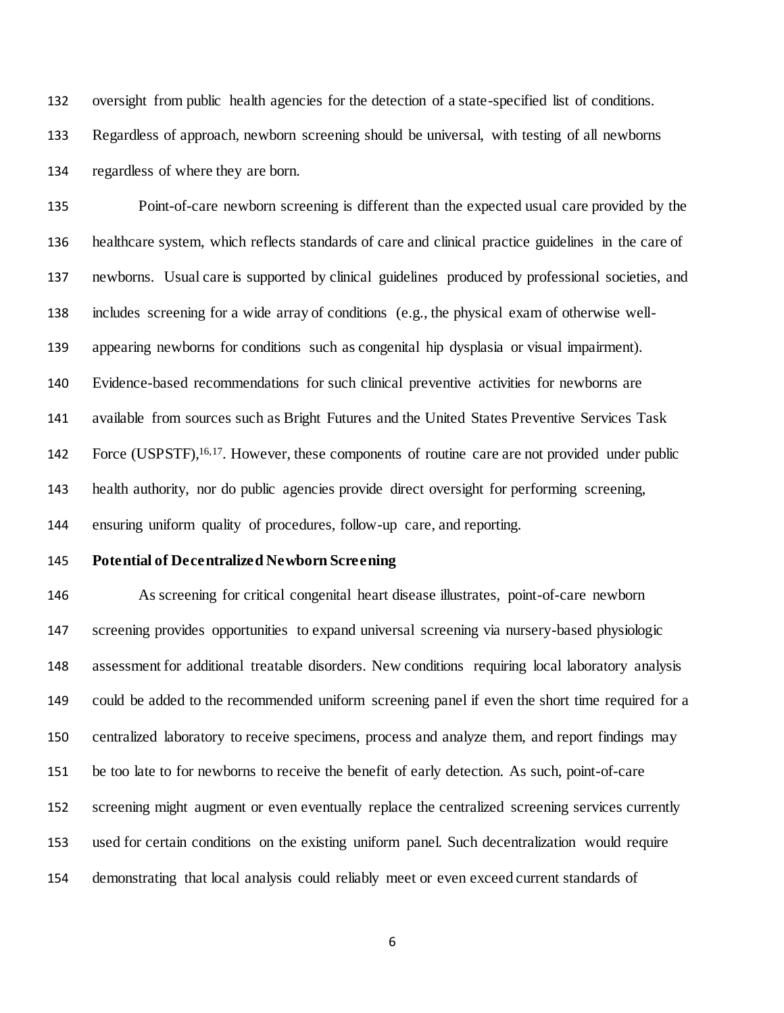oversight from public health agencies for the detection of a state-specified list of conditions.

Regardless of approach, newborn screening should be universal, with testing of all newborns

regardless of where they are born.

 Point-of-care newborn screening is different than the expected usual care provided by the healthcare system, which reflects standards of care and clinical practice guidelines in the care of newborns. Usual care is supported by clinical guidelines produced by professional societies, and includes screening for a wide array of conditions (e.g., the physical exam of otherwise well- appearing newborns for conditions such as congenital hip dysplasia or visual impairment). Evidence-based recommendations for such clinical preventive activities for newborns are available from sources such as Bright Futures and the United States Preventive Services Task 142 Force (USPSTF),<sup>[16,](#page-12-4)[17](#page-12-5)</sup>. However, these components of routine care are not provided under public health authority, nor do public agencies provide direct oversight for performing screening, ensuring uniform quality of procedures, follow-up care, and reporting.

## **Potential of Decentralized Newborn Screening**

 As screening for critical congenital heart disease illustrates, point-of-care newborn screening provides opportunities to expand universal screening via nursery-based physiologic assessment for additional treatable disorders. New conditions requiring local laboratory analysis could be added to the recommended uniform screening panel if even the short time required for a centralized laboratory to receive specimens, process and analyze them, and report findings may be too late to for newborns to receive the benefit of early detection. As such, point-of-care screening might augment or even eventually replace the centralized screening services currently used for certain conditions on the existing uniform panel. Such decentralization would require demonstrating that local analysis could reliably meet or even exceed current standards of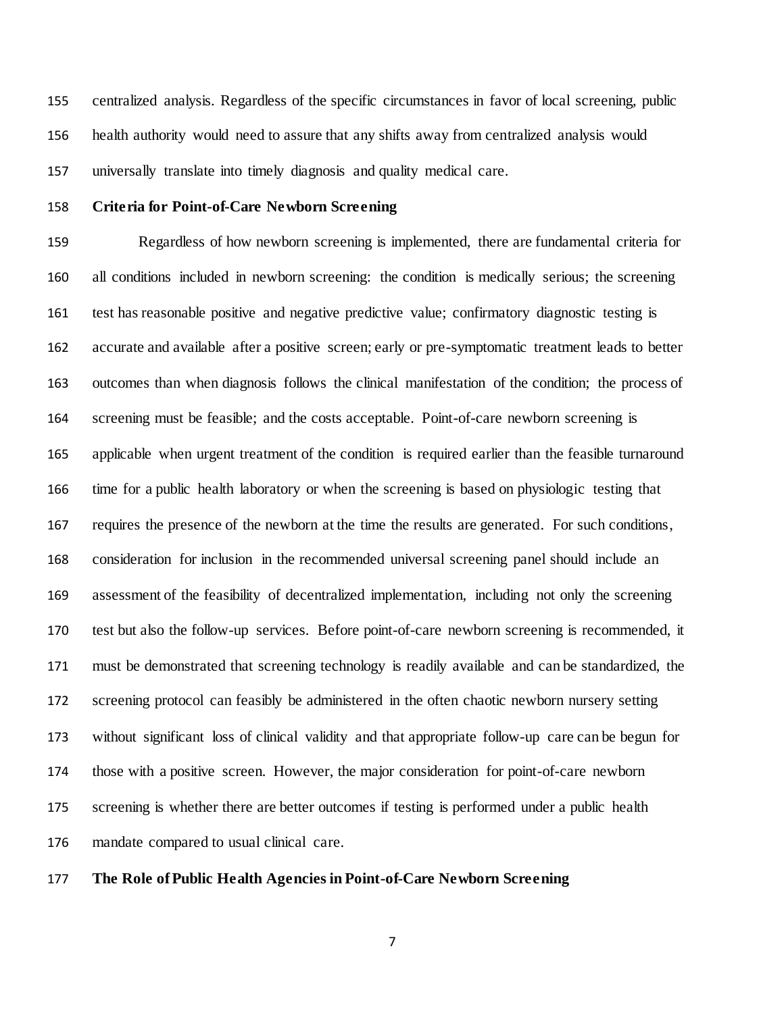centralized analysis. Regardless of the specific circumstances in favor of local screening, public health authority would need to assure that any shifts away from centralized analysis would universally translate into timely diagnosis and quality medical care.

# **Criteria for Point-of-Care Newborn Screening**

 Regardless of how newborn screening is implemented, there are fundamental criteria for all conditions included in newborn screening: the condition is medically serious; the screening test has reasonable positive and negative predictive value; confirmatory diagnostic testing is accurate and available after a positive screen; early or pre-symptomatic treatment leads to better outcomes than when diagnosis follows the clinical manifestation of the condition; the process of screening must be feasible; and the costs acceptable. Point-of-care newborn screening is applicable when urgent treatment of the condition is required earlier than the feasible turnaround time for a public health laboratory or when the screening is based on physiologic testing that requires the presence of the newborn at the time the results are generated. For such conditions, consideration for inclusion in the recommended universal screening panel should include an assessment of the feasibility of decentralized implementation, including not only the screening test but also the follow-up services. Before point-of-care newborn screening is recommended, it must be demonstrated that screening technology is readily available and can be standardized, the screening protocol can feasibly be administered in the often chaotic newborn nursery setting without significant loss of clinical validity and that appropriate follow-up care can be begun for those with a positive screen. However, the major consideration for point-of-care newborn screening is whether there are better outcomes if testing is performed under a public health mandate compared to usual clinical care.

**The Role of Public Health Agencies in Point-of-Care Newborn Screening**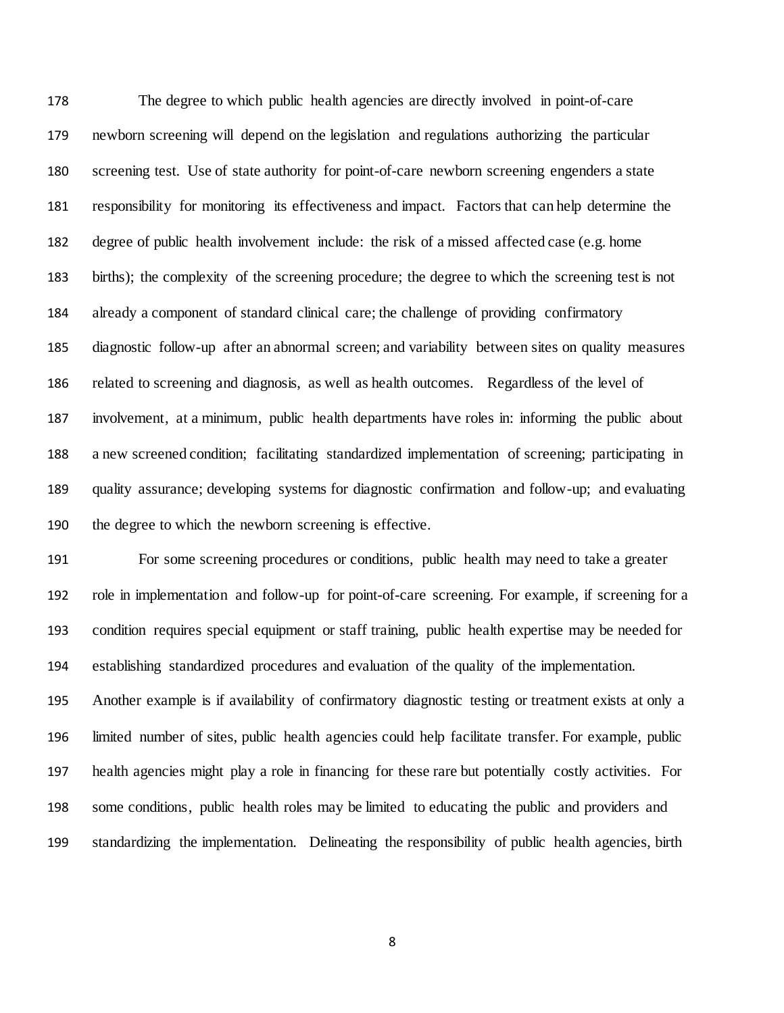The degree to which public health agencies are directly involved in point-of-care newborn screening will depend on the legislation and regulations authorizing the particular screening test. Use of state authority for point-of-care newborn screening engenders a state responsibility for monitoring its effectiveness and impact. Factors that can help determine the degree of public health involvement include: the risk of a missed affected case (e.g. home births); the complexity of the screening procedure; the degree to which the screening test is not already a component of standard clinical care; the challenge of providing confirmatory diagnostic follow-up after an abnormal screen; and variability between sites on quality measures related to screening and diagnosis, as well as health outcomes. Regardless of the level of involvement, at a minimum, public health departments have roles in: informing the public about a new screened condition; facilitating standardized implementation of screening; participating in quality assurance; developing systems for diagnostic confirmation and follow-up; and evaluating the degree to which the newborn screening is effective.

 For some screening procedures or conditions, public health may need to take a greater role in implementation and follow-up for point-of-care screening. For example, if screening for a condition requires special equipment or staff training, public health expertise may be needed for establishing standardized procedures and evaluation of the quality of the implementation.

 Another example is if availability of confirmatory diagnostic testing or treatment exists at only a limited number of sites, public health agencies could help facilitate transfer. For example, public health agencies might play a role in financing for these rare but potentially costly activities. For some conditions, public health roles may be limited to educating the public and providers and standardizing the implementation. Delineating the responsibility of public health agencies, birth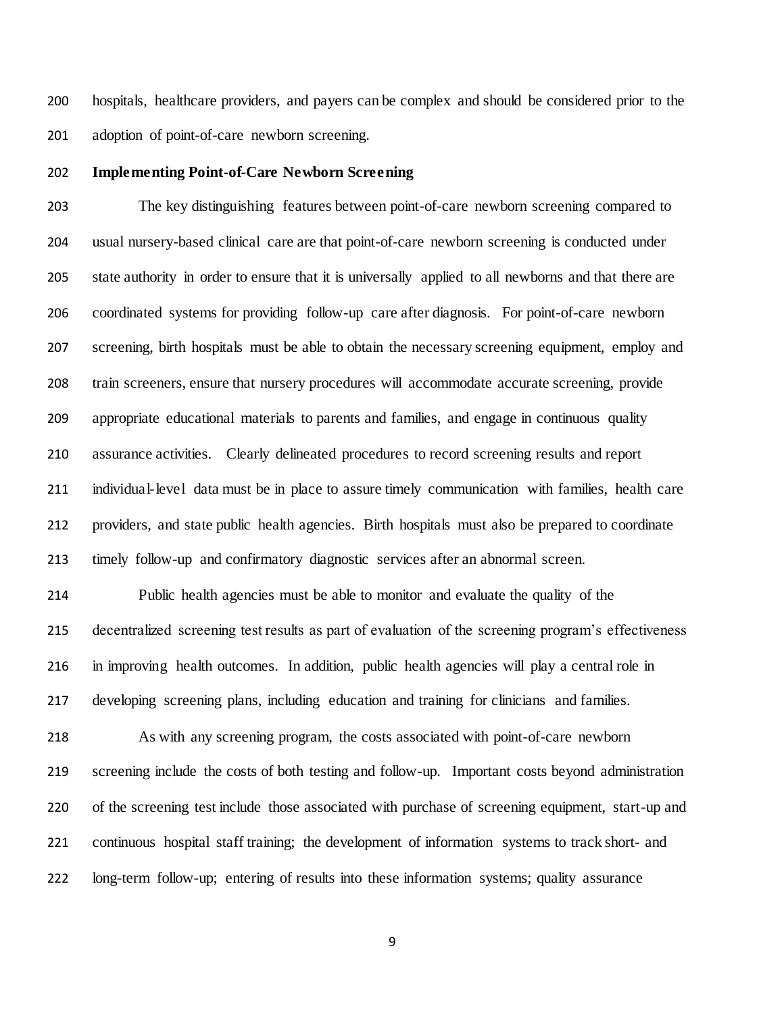hospitals, healthcare providers, and payers can be complex and should be considered prior to the adoption of point-of-care newborn screening.

### **Implementing Point-of-Care Newborn Screening**

 The key distinguishing features between point-of-care newborn screening compared to usual nursery-based clinical care are that point-of-care newborn screening is conducted under state authority in order to ensure that it is universally applied to all newborns and that there are coordinated systems for providing follow-up care after diagnosis. For point-of-care newborn screening, birth hospitals must be able to obtain the necessary screening equipment, employ and train screeners, ensure that nursery procedures will accommodate accurate screening, provide appropriate educational materials to parents and families, and engage in continuous quality assurance activities. Clearly delineated procedures to record screening results and report individual-level data must be in place to assure timely communication with families, health care providers, and state public health agencies. Birth hospitals must also be prepared to coordinate timely follow-up and confirmatory diagnostic services after an abnormal screen.

 Public health agencies must be able to monitor and evaluate the quality of the decentralized screening test results as part of evaluation of the screening program's effectiveness in improving health outcomes. In addition, public health agencies will play a central role in developing screening plans, including education and training for clinicians and families.

 As with any screening program, the costs associated with point-of-care newborn screening include the costs of both testing and follow-up. Important costs beyond administration of the screening test include those associated with purchase of screening equipment, start-up and continuous hospital staff training; the development of information systems to track short- and long-term follow-up; entering of results into these information systems; quality assurance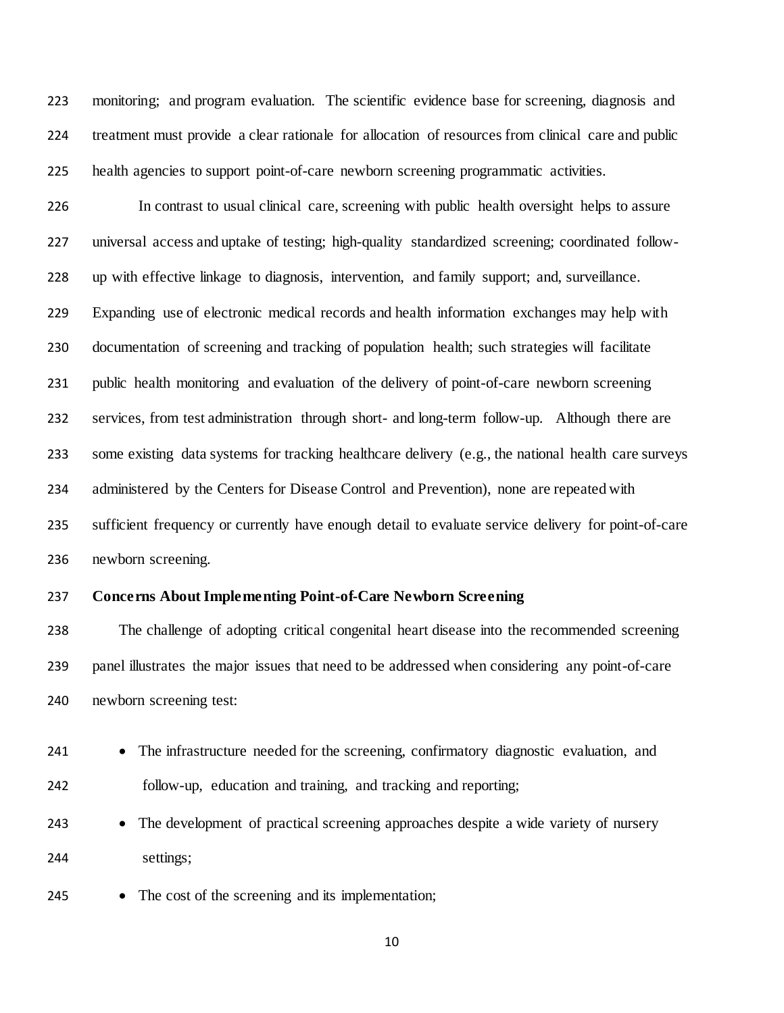monitoring; and program evaluation. The scientific evidence base for screening, diagnosis and treatment must provide a clear rationale for allocation of resources from clinical care and public health agencies to support point-of-care newborn screening programmatic activities.

 In contrast to usual clinical care, screening with public health oversight helps to assure universal access and uptake of testing; high-quality standardized screening; coordinated follow- up with effective linkage to diagnosis, intervention, and family support; and, surveillance. Expanding use of electronic medical records and health information exchanges may help with documentation of screening and tracking of population health; such strategies will facilitate public health monitoring and evaluation of the delivery of point-of-care newborn screening services, from test administration through short- and long-term follow-up. Although there are some existing data systems for tracking healthcare delivery (e.g., the national health care surveys administered by the Centers for Disease Control and Prevention), none are repeated with sufficient frequency or currently have enough detail to evaluate service delivery for point-of-care newborn screening.

## **Concerns About Implementing Point-of-Care Newborn Screening**

 The challenge of adopting critical congenital heart disease into the recommended screening panel illustrates the major issues that need to be addressed when considering any point-of-care newborn screening test:

- 241 The infrastructure needed for the screening, confirmatory diagnostic evaluation, and follow-up, education and training, and tracking and reporting;
- The development of practical screening approaches despite a wide variety of nursery settings;
- 245 The cost of the screening and its implementation;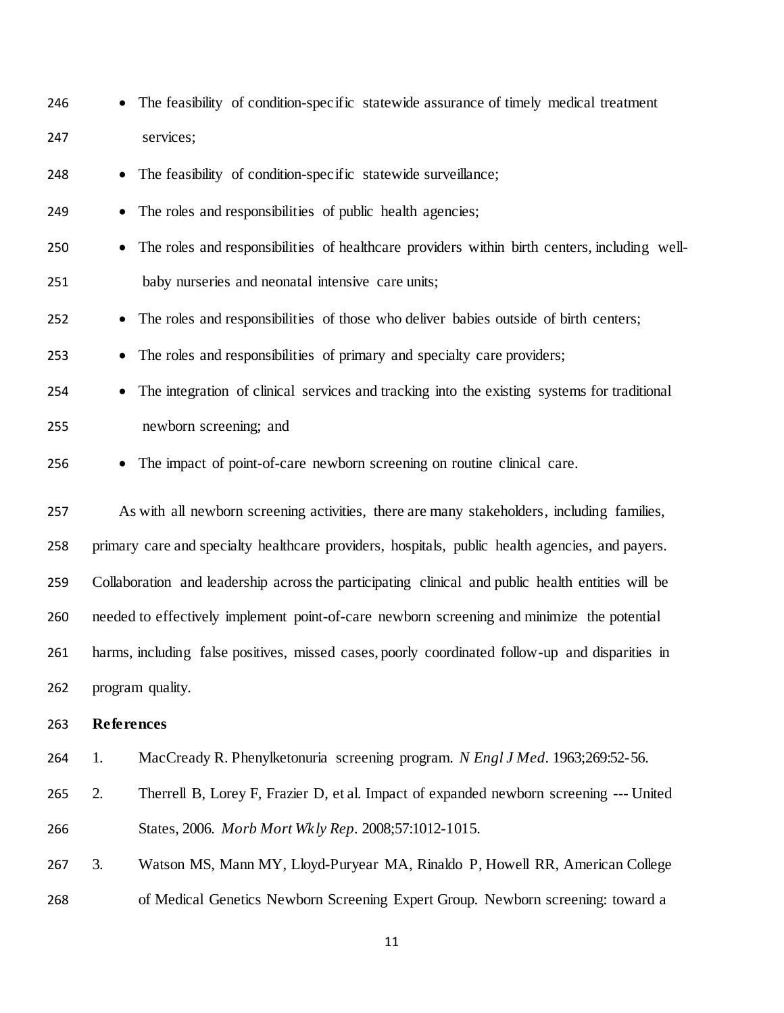<span id="page-10-2"></span><span id="page-10-1"></span><span id="page-10-0"></span>

| 246 | The feasibility of condition-specific statewide assurance of timely medical treatment             |  |  |
|-----|---------------------------------------------------------------------------------------------------|--|--|
| 247 | services;                                                                                         |  |  |
| 248 | The feasibility of condition-specific statewide surveillance;                                     |  |  |
| 249 | The roles and responsibilities of public health agencies;<br>$\bullet$                            |  |  |
| 250 | The roles and responsibilities of healthcare providers within birth centers, including well-      |  |  |
| 251 | baby nurseries and neonatal intensive care units;                                                 |  |  |
| 252 | The roles and responsibilities of those who deliver babies outside of birth centers;<br>$\bullet$ |  |  |
| 253 | The roles and responsibilities of primary and specialty care providers;                           |  |  |
| 254 | The integration of clinical services and tracking into the existing systems for traditional       |  |  |
| 255 | newborn screening; and                                                                            |  |  |
| 256 | The impact of point-of-care newborn screening on routine clinical care.                           |  |  |
| 257 | As with all newborn screening activities, there are many stakeholders, including families,        |  |  |
| 258 | primary care and specialty healthcare providers, hospitals, public health agencies, and payers.   |  |  |
| 259 | Collaboration and leadership across the participating clinical and public health entities will be |  |  |
| 260 | needed to effectively implement point-of-care newborn screening and minimize the potential        |  |  |
| 261 | harms, including false positives, missed cases, poorly coordinated follow-up and disparities in   |  |  |
| 262 | program quality.                                                                                  |  |  |
| 263 | <b>References</b>                                                                                 |  |  |
| 264 | MacCready R. Phenylketonuria screening program. N Engl J Med. 1963;269:52-56.<br>1.               |  |  |
| 265 | 2.<br>Therrell B, Lorey F, Frazier D, et al. Impact of expanded newborn screening --- United      |  |  |
| 266 | States, 2006. Morb Mort Wkly Rep. 2008;57:1012-1015.                                              |  |  |
| 267 | 3.<br>Watson MS, Mann MY, Lloyd-Puryear MA, Rinaldo P, Howell RR, American College                |  |  |
| 268 | of Medical Genetics Newborn Screening Expert Group. Newborn screening: toward a                   |  |  |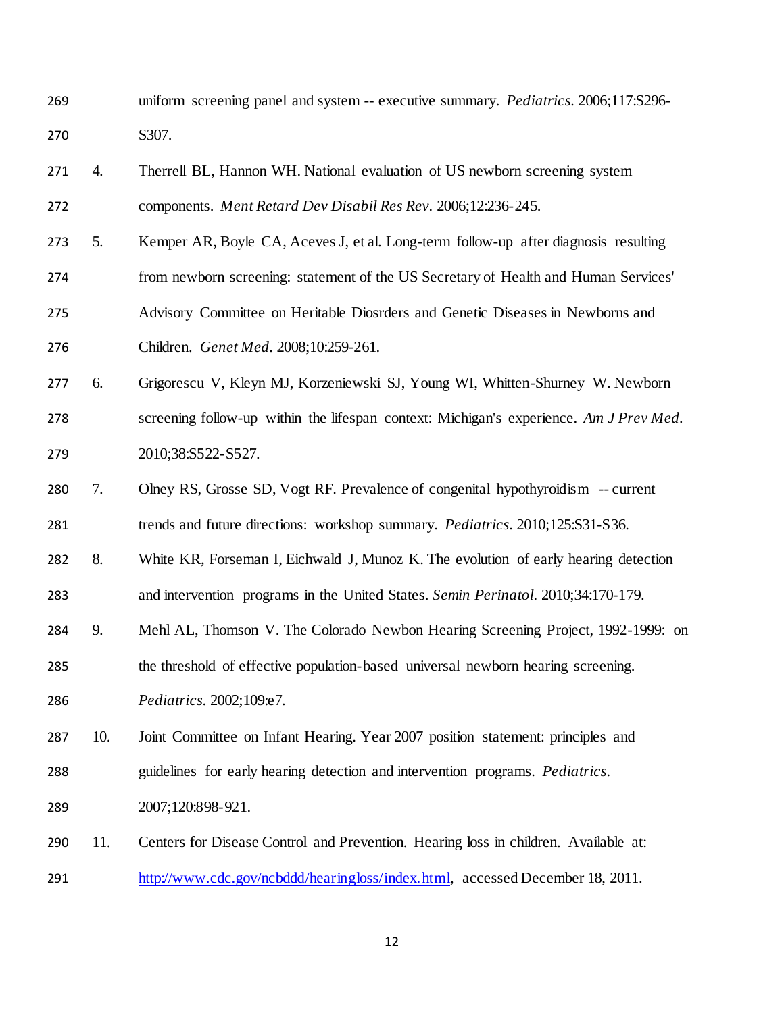- uniform screening panel and system -- executive summary. *Pediatrics.* 2006;117:S296- S307.
- <span id="page-11-0"></span> 4. Therrell BL, Hannon WH. National evaluation of US newborn screening system components. *Ment Retard Dev Disabil Res Rev.* 2006;12:236-245.
- <span id="page-11-1"></span> 5. Kemper AR, Boyle CA, Aceves J, et al. Long-term follow-up after diagnosis resulting from newborn screening: statement of the US Secretary of Health and Human Services' Advisory Committee on Heritable Diosrders and Genetic Diseases in Newborns and Children. *Genet Med.* 2008;10:259-261.
- <span id="page-11-2"></span> 6. Grigorescu V, Kleyn MJ, Korzeniewski SJ, Young WI, Whitten-Shurney W. Newborn screening follow-up within the lifespan context: Michigan's experience. *Am J Prev Med.*  2010;38:S522-S527.
- <span id="page-11-3"></span>7. Olney RS, Grosse SD, Vogt RF. Prevalence of congenital hypothyroidism -- current

trends and future directions: workshop summary. *Pediatrics.* 2010;125:S31-S36.

- <span id="page-11-4"></span> 8. White KR, Forseman I, Eichwald J, Munoz K. The evolution of early hearing detection and intervention programs in the United States. *Semin Perinatol.* 2010;34:170-179.
- <span id="page-11-5"></span>9. Mehl AL, Thomson V. The Colorado Newbon Hearing Screening Project, 1992-1999: on
- the threshold of effective population-based universal newborn hearing screening.
- *Pediatrics.* 2002;109:e7.
- <span id="page-11-6"></span>10. Joint Committee on Infant Hearing. Year 2007 position statement: principles and
- guidelines for early hearing detection and intervention programs. *Pediatrics.*
- 2007;120:898-921.
- <span id="page-11-7"></span> 11. Centers for Disease Control and Prevention. Hearing loss in children. Available at: <http://www.cdc.gov/ncbddd/hearingloss/index.html>*,* accessed December 18, 2011.